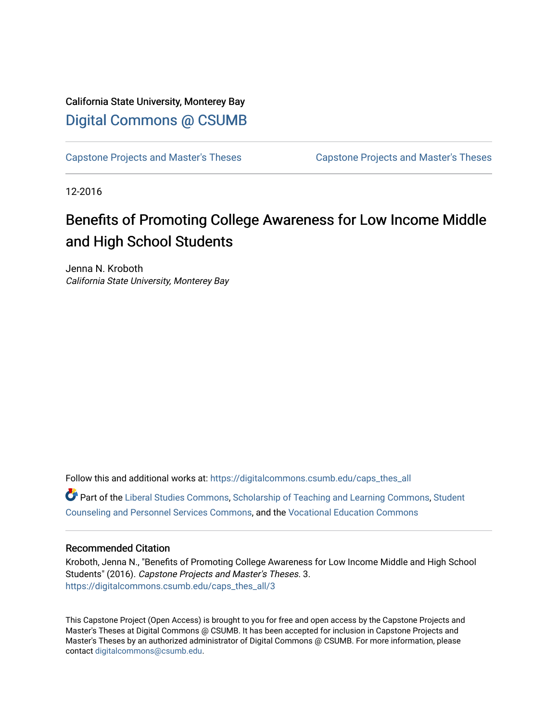# California State University, Monterey Bay [Digital Commons @ CSUMB](https://digitalcommons.csumb.edu/)

[Capstone Projects and Master's Theses](https://digitalcommons.csumb.edu/caps_thes_all) [Capstone Projects and Master's Theses](https://digitalcommons.csumb.edu/capstones_theses) 

12-2016

# Benefits of Promoting College Awareness for Low Income Middle and High School Students

Jenna N. Kroboth California State University, Monterey Bay

Follow this and additional works at: [https://digitalcommons.csumb.edu/caps\\_thes\\_all](https://digitalcommons.csumb.edu/caps_thes_all?utm_source=digitalcommons.csumb.edu%2Fcaps_thes_all%2F3&utm_medium=PDF&utm_campaign=PDFCoverPages)

Part of the [Liberal Studies Commons](http://network.bepress.com/hgg/discipline/1042?utm_source=digitalcommons.csumb.edu%2Fcaps_thes_all%2F3&utm_medium=PDF&utm_campaign=PDFCoverPages), [Scholarship of Teaching and Learning Commons](http://network.bepress.com/hgg/discipline/1328?utm_source=digitalcommons.csumb.edu%2Fcaps_thes_all%2F3&utm_medium=PDF&utm_campaign=PDFCoverPages), [Student](http://network.bepress.com/hgg/discipline/802?utm_source=digitalcommons.csumb.edu%2Fcaps_thes_all%2F3&utm_medium=PDF&utm_campaign=PDFCoverPages) [Counseling and Personnel Services Commons,](http://network.bepress.com/hgg/discipline/802?utm_source=digitalcommons.csumb.edu%2Fcaps_thes_all%2F3&utm_medium=PDF&utm_campaign=PDFCoverPages) and the [Vocational Education Commons](http://network.bepress.com/hgg/discipline/1369?utm_source=digitalcommons.csumb.edu%2Fcaps_thes_all%2F3&utm_medium=PDF&utm_campaign=PDFCoverPages)

#### Recommended Citation

Kroboth, Jenna N., "Benefits of Promoting College Awareness for Low Income Middle and High School Students" (2016). Capstone Projects and Master's Theses. 3. [https://digitalcommons.csumb.edu/caps\\_thes\\_all/3](https://digitalcommons.csumb.edu/caps_thes_all/3?utm_source=digitalcommons.csumb.edu%2Fcaps_thes_all%2F3&utm_medium=PDF&utm_campaign=PDFCoverPages)

This Capstone Project (Open Access) is brought to you for free and open access by the Capstone Projects and Master's Theses at Digital Commons @ CSUMB. It has been accepted for inclusion in Capstone Projects and Master's Theses by an authorized administrator of Digital Commons @ CSUMB. For more information, please contact [digitalcommons@csumb.edu.](mailto:digitalcommons@csumb.edu)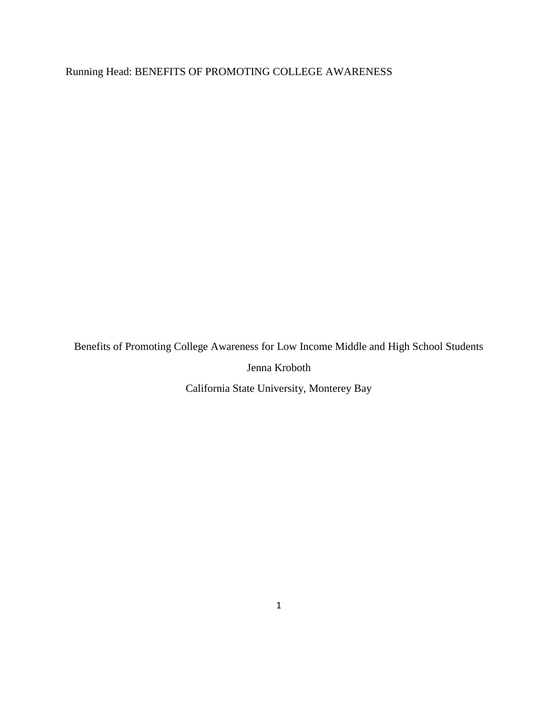Running Head: BENEFITS OF PROMOTING COLLEGE AWARENESS

Benefits of Promoting College Awareness for Low Income Middle and High School Students

Jenna Kroboth

California State University, Monterey Bay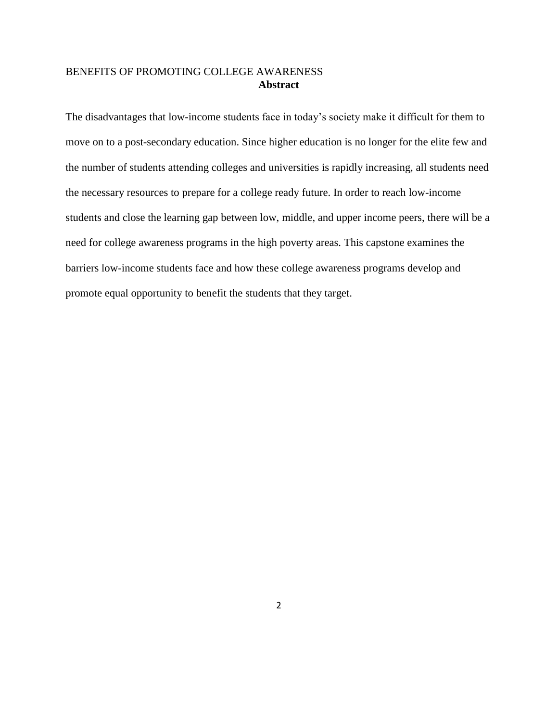The disadvantages that low-income students face in today's society make it difficult for them to move on to a post-secondary education. Since higher education is no longer for the elite few and the number of students attending colleges and universities is rapidly increasing, all students need the necessary resources to prepare for a college ready future. In order to reach low-income students and close the learning gap between low, middle, and upper income peers, there will be a need for college awareness programs in the high poverty areas. This capstone examines the barriers low-income students face and how these college awareness programs develop and promote equal opportunity to benefit the students that they target.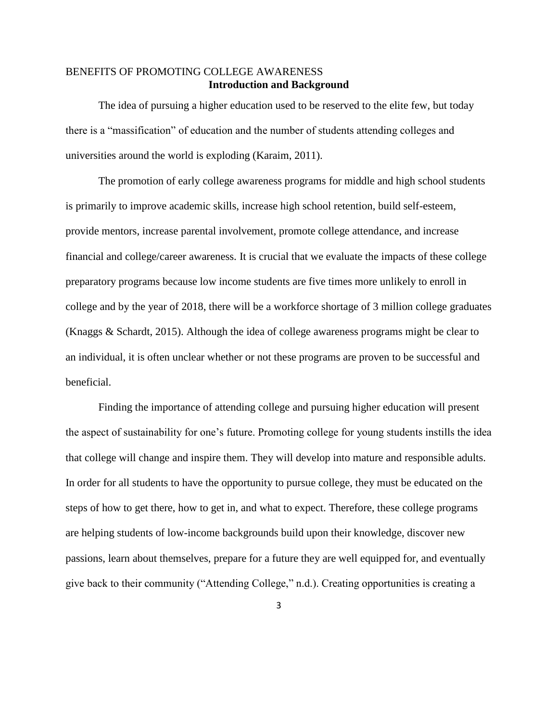# BENEFITS OF PROMOTING COLLEGE AWARENESS **Introduction and Background**

The idea of pursuing a higher education used to be reserved to the elite few, but today there is a "massification" of education and the number of students attending colleges and universities around the world is exploding (Karaim, 2011).

The promotion of early college awareness programs for middle and high school students is primarily to improve academic skills, increase high school retention, build self-esteem, provide mentors, increase parental involvement, promote college attendance, and increase financial and college/career awareness. It is crucial that we evaluate the impacts of these college preparatory programs because low income students are five times more unlikely to enroll in college and by the year of 2018, there will be a workforce shortage of 3 million college graduates (Knaggs & Schardt, 2015). Although the idea of college awareness programs might be clear to an individual, it is often unclear whether or not these programs are proven to be successful and beneficial.

Finding the importance of attending college and pursuing higher education will present the aspect of sustainability for one's future. Promoting college for young students instills the idea that college will change and inspire them. They will develop into mature and responsible adults. In order for all students to have the opportunity to pursue college, they must be educated on the steps of how to get there, how to get in, and what to expect. Therefore, these college programs are helping students of low-income backgrounds build upon their knowledge, discover new passions, learn about themselves, prepare for a future they are well equipped for, and eventually give back to their community ("Attending College," n.d.). Creating opportunities is creating a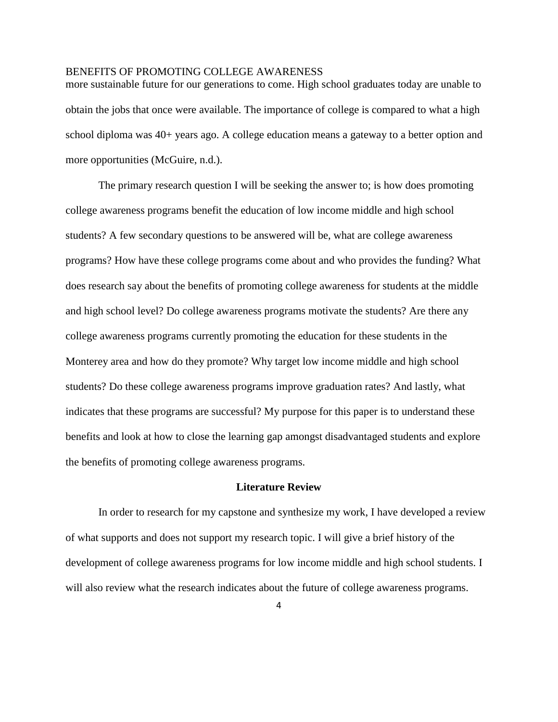more sustainable future for our generations to come. High school graduates today are unable to obtain the jobs that once were available. The importance of college is compared to what a high school diploma was 40+ years ago. A college education means a gateway to a better option and more opportunities (McGuire, n.d.).

The primary research question I will be seeking the answer to; is how does promoting college awareness programs benefit the education of low income middle and high school students? A few secondary questions to be answered will be, what are college awareness programs? How have these college programs come about and who provides the funding? What does research say about the benefits of promoting college awareness for students at the middle and high school level? Do college awareness programs motivate the students? Are there any college awareness programs currently promoting the education for these students in the Monterey area and how do they promote? Why target low income middle and high school students? Do these college awareness programs improve graduation rates? And lastly, what indicates that these programs are successful? My purpose for this paper is to understand these benefits and look at how to close the learning gap amongst disadvantaged students and explore the benefits of promoting college awareness programs.

## **Literature Review**

In order to research for my capstone and synthesize my work, I have developed a review of what supports and does not support my research topic. I will give a brief history of the development of college awareness programs for low income middle and high school students. I will also review what the research indicates about the future of college awareness programs.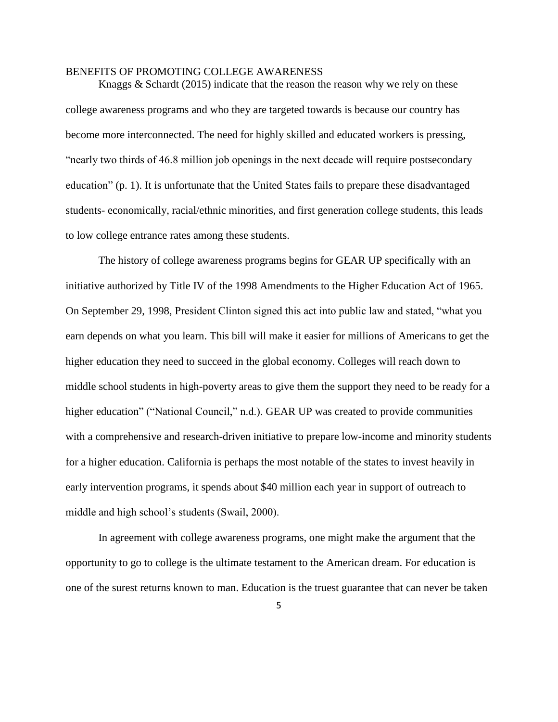Knaggs & Schardt (2015) indicate that the reason the reason why we rely on these college awareness programs and who they are targeted towards is because our country has become more interconnected. The need for highly skilled and educated workers is pressing, "nearly two thirds of 46.8 million job openings in the next decade will require postsecondary education" (p. 1). It is unfortunate that the United States fails to prepare these disadvantaged students- economically, racial/ethnic minorities, and first generation college students, this leads to low college entrance rates among these students.

The history of college awareness programs begins for GEAR UP specifically with an initiative authorized by Title IV of the 1998 Amendments to the Higher Education Act of 1965. On September 29, 1998, President Clinton signed this act into public law and stated, "what you earn depends on what you learn. This bill will make it easier for millions of Americans to get the higher education they need to succeed in the global economy. Colleges will reach down to middle school students in high-poverty areas to give them the support they need to be ready for a higher education" ("National Council," n.d.). GEAR UP was created to provide communities with a comprehensive and research-driven initiative to prepare low-income and minority students for a higher education. California is perhaps the most notable of the states to invest heavily in early intervention programs, it spends about \$40 million each year in support of outreach to middle and high school's students (Swail, 2000).

In agreement with college awareness programs, one might make the argument that the opportunity to go to college is the ultimate testament to the American dream. For education is one of the surest returns known to man. Education is the truest guarantee that can never be taken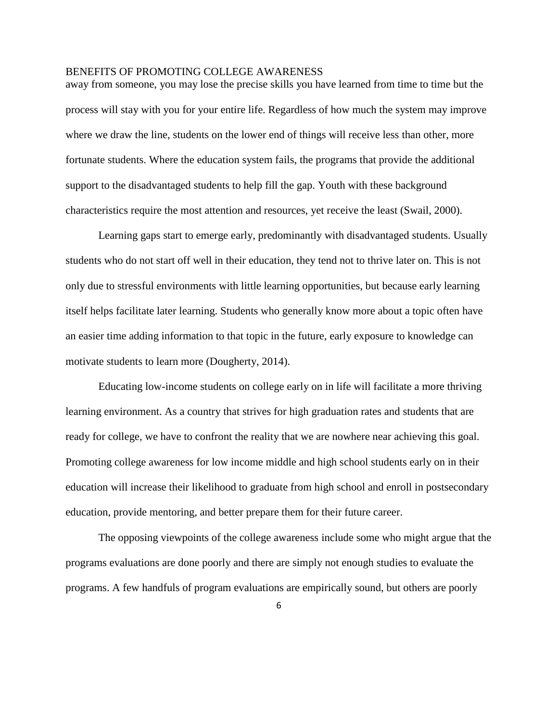away from someone, you may lose the precise skills you have learned from time to time but the process will stay with you for your entire life. Regardless of how much the system may improve where we draw the line, students on the lower end of things will receive less than other, more fortunate students. Where the education system fails, the programs that provide the additional support to the disadvantaged students to help fill the gap. Youth with these background characteristics require the most attention and resources, yet receive the least (Swail, 2000).

Learning gaps start to emerge early, predominantly with disadvantaged students. Usually students who do not start off well in their education, they tend not to thrive later on. This is not only due to stressful environments with little learning opportunities, but because early learning itself helps facilitate later learning. Students who generally know more about a topic often have an easier time adding information to that topic in the future, early exposure to knowledge can motivate students to learn more (Dougherty, 2014).

Educating low-income students on college early on in life will facilitate a more thriving learning environment. As a country that strives for high graduation rates and students that are ready for college, we have to confront the reality that we are nowhere near achieving this goal. Promoting college awareness for low income middle and high school students early on in their education will increase their likelihood to graduate from high school and enroll in postsecondary education, provide mentoring, and better prepare them for their future career.

The opposing viewpoints of the college awareness include some who might argue that the programs evaluations are done poorly and there are simply not enough studies to evaluate the programs. A few handfuls of program evaluations are empirically sound, but others are poorly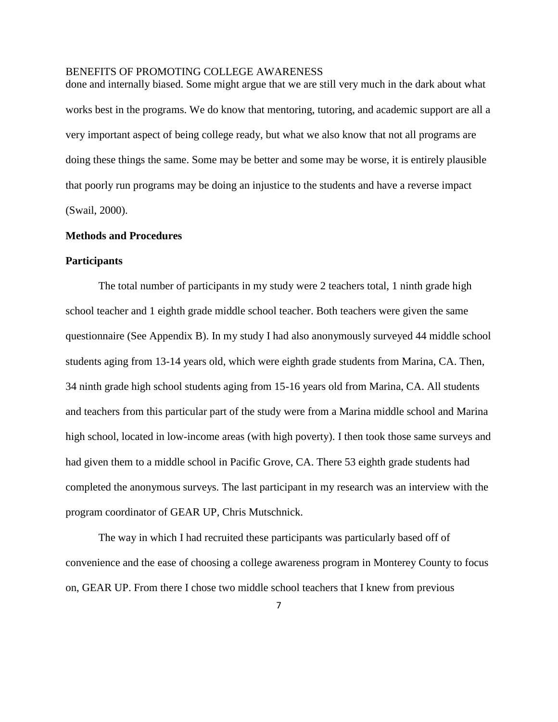done and internally biased. Some might argue that we are still very much in the dark about what works best in the programs. We do know that mentoring, tutoring, and academic support are all a very important aspect of being college ready, but what we also know that not all programs are doing these things the same. Some may be better and some may be worse, it is entirely plausible that poorly run programs may be doing an injustice to the students and have a reverse impact (Swail, 2000).

## **Methods and Procedures**

#### **Participants**

The total number of participants in my study were 2 teachers total, 1 ninth grade high school teacher and 1 eighth grade middle school teacher. Both teachers were given the same questionnaire (See Appendix B). In my study I had also anonymously surveyed 44 middle school students aging from 13-14 years old, which were eighth grade students from Marina, CA. Then, 34 ninth grade high school students aging from 15-16 years old from Marina, CA. All students and teachers from this particular part of the study were from a Marina middle school and Marina high school, located in low-income areas (with high poverty). I then took those same surveys and had given them to a middle school in Pacific Grove, CA. There 53 eighth grade students had completed the anonymous surveys. The last participant in my research was an interview with the program coordinator of GEAR UP, Chris Mutschnick.

The way in which I had recruited these participants was particularly based off of convenience and the ease of choosing a college awareness program in Monterey County to focus on, GEAR UP. From there I chose two middle school teachers that I knew from previous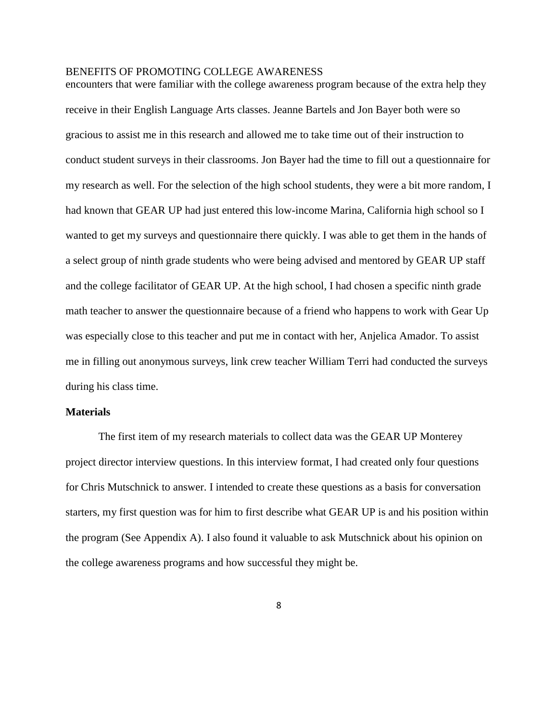encounters that were familiar with the college awareness program because of the extra help they receive in their English Language Arts classes. Jeanne Bartels and Jon Bayer both were so gracious to assist me in this research and allowed me to take time out of their instruction to conduct student surveys in their classrooms. Jon Bayer had the time to fill out a questionnaire for my research as well. For the selection of the high school students, they were a bit more random, I had known that GEAR UP had just entered this low-income Marina, California high school so I wanted to get my surveys and questionnaire there quickly. I was able to get them in the hands of a select group of ninth grade students who were being advised and mentored by GEAR UP staff and the college facilitator of GEAR UP. At the high school, I had chosen a specific ninth grade math teacher to answer the questionnaire because of a friend who happens to work with Gear Up was especially close to this teacher and put me in contact with her, Anjelica Amador. To assist me in filling out anonymous surveys, link crew teacher William Terri had conducted the surveys during his class time.

#### **Materials**

The first item of my research materials to collect data was the GEAR UP Monterey project director interview questions. In this interview format, I had created only four questions for Chris Mutschnick to answer. I intended to create these questions as a basis for conversation starters, my first question was for him to first describe what GEAR UP is and his position within the program (See Appendix A). I also found it valuable to ask Mutschnick about his opinion on the college awareness programs and how successful they might be.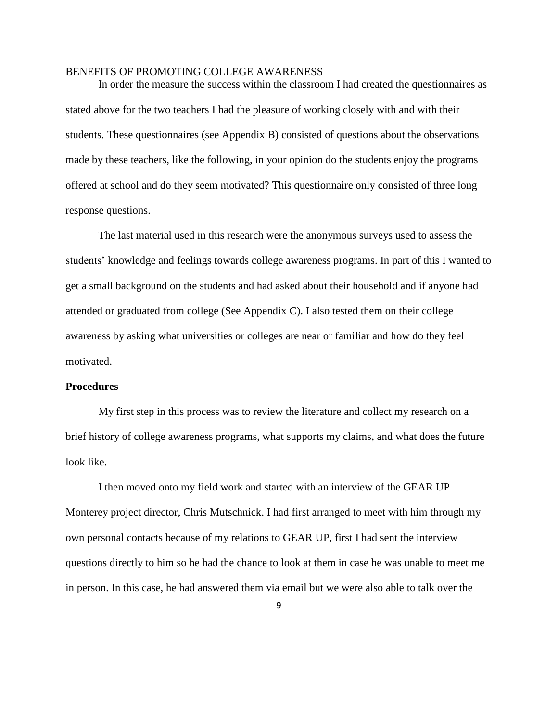In order the measure the success within the classroom I had created the questionnaires as stated above for the two teachers I had the pleasure of working closely with and with their students. These questionnaires (see Appendix B) consisted of questions about the observations made by these teachers, like the following, in your opinion do the students enjoy the programs offered at school and do they seem motivated? This questionnaire only consisted of three long response questions.

The last material used in this research were the anonymous surveys used to assess the students' knowledge and feelings towards college awareness programs. In part of this I wanted to get a small background on the students and had asked about their household and if anyone had attended or graduated from college (See Appendix C). I also tested them on their college awareness by asking what universities or colleges are near or familiar and how do they feel motivated.

## **Procedures**

My first step in this process was to review the literature and collect my research on a brief history of college awareness programs, what supports my claims, and what does the future look like.

I then moved onto my field work and started with an interview of the GEAR UP Monterey project director, Chris Mutschnick. I had first arranged to meet with him through my own personal contacts because of my relations to GEAR UP, first I had sent the interview questions directly to him so he had the chance to look at them in case he was unable to meet me in person. In this case, he had answered them via email but we were also able to talk over the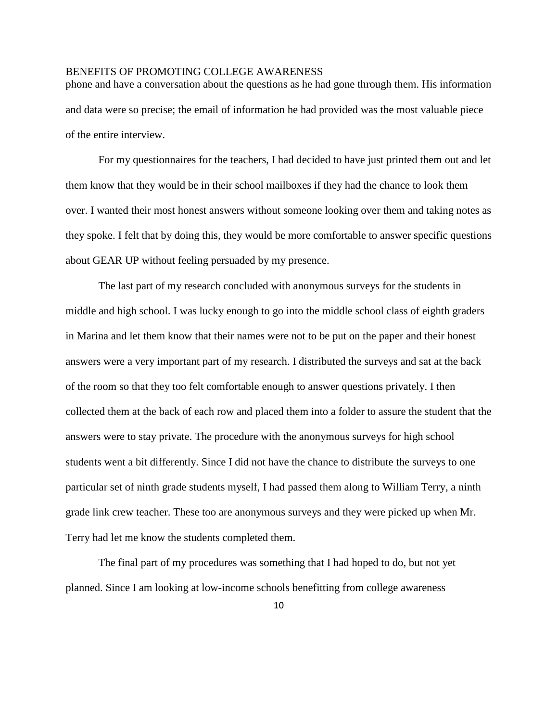phone and have a conversation about the questions as he had gone through them. His information and data were so precise; the email of information he had provided was the most valuable piece of the entire interview.

For my questionnaires for the teachers, I had decided to have just printed them out and let them know that they would be in their school mailboxes if they had the chance to look them over. I wanted their most honest answers without someone looking over them and taking notes as they spoke. I felt that by doing this, they would be more comfortable to answer specific questions about GEAR UP without feeling persuaded by my presence.

The last part of my research concluded with anonymous surveys for the students in middle and high school. I was lucky enough to go into the middle school class of eighth graders in Marina and let them know that their names were not to be put on the paper and their honest answers were a very important part of my research. I distributed the surveys and sat at the back of the room so that they too felt comfortable enough to answer questions privately. I then collected them at the back of each row and placed them into a folder to assure the student that the answers were to stay private. The procedure with the anonymous surveys for high school students went a bit differently. Since I did not have the chance to distribute the surveys to one particular set of ninth grade students myself, I had passed them along to William Terry, a ninth grade link crew teacher. These too are anonymous surveys and they were picked up when Mr. Terry had let me know the students completed them.

The final part of my procedures was something that I had hoped to do, but not yet planned. Since I am looking at low-income schools benefitting from college awareness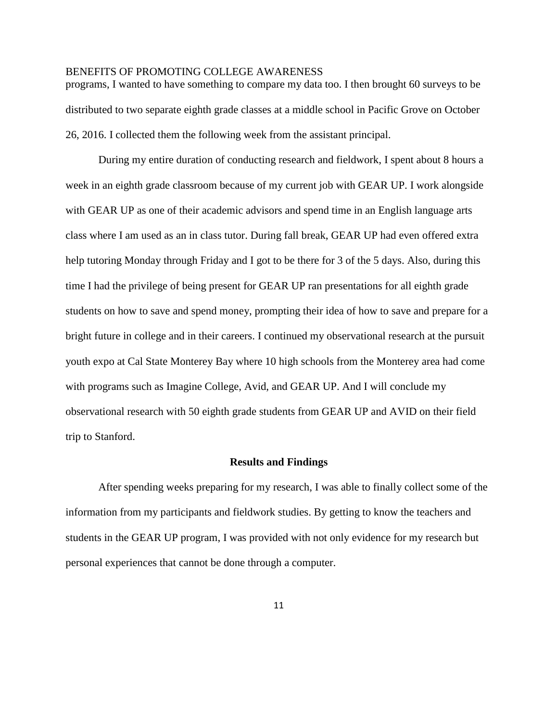programs, I wanted to have something to compare my data too. I then brought 60 surveys to be distributed to two separate eighth grade classes at a middle school in Pacific Grove on October 26, 2016. I collected them the following week from the assistant principal.

During my entire duration of conducting research and fieldwork, I spent about 8 hours a week in an eighth grade classroom because of my current job with GEAR UP. I work alongside with GEAR UP as one of their academic advisors and spend time in an English language arts class where I am used as an in class tutor. During fall break, GEAR UP had even offered extra help tutoring Monday through Friday and I got to be there for 3 of the 5 days. Also, during this time I had the privilege of being present for GEAR UP ran presentations for all eighth grade students on how to save and spend money, prompting their idea of how to save and prepare for a bright future in college and in their careers. I continued my observational research at the pursuit youth expo at Cal State Monterey Bay where 10 high schools from the Monterey area had come with programs such as Imagine College, Avid, and GEAR UP. And I will conclude my observational research with 50 eighth grade students from GEAR UP and AVID on their field trip to Stanford.

#### **Results and Findings**

After spending weeks preparing for my research, I was able to finally collect some of the information from my participants and fieldwork studies. By getting to know the teachers and students in the GEAR UP program, I was provided with not only evidence for my research but personal experiences that cannot be done through a computer.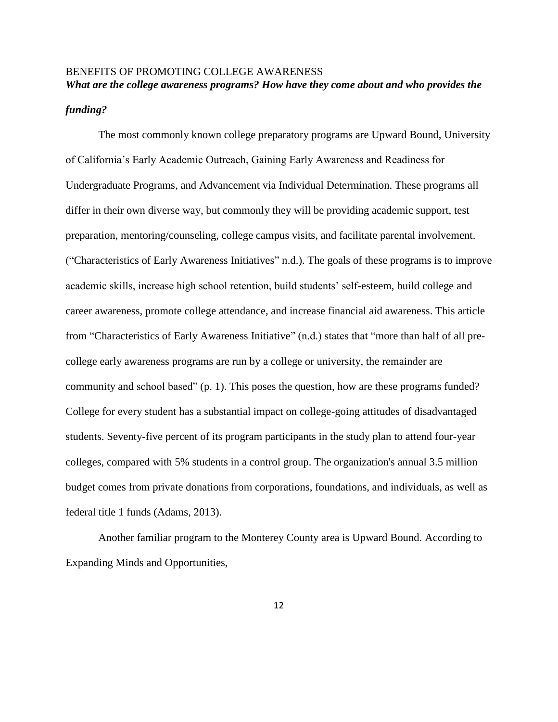# BENEFITS OF PROMOTING COLLEGE AWARENESS *What are the college awareness programs? How have they come about and who provides the*

## *funding?*

The most commonly known college preparatory programs are Upward Bound, University of California's Early Academic Outreach, Gaining Early Awareness and Readiness for Undergraduate Programs, and Advancement via Individual Determination. These programs all differ in their own diverse way, but commonly they will be providing academic support, test preparation, mentoring/counseling, college campus visits, and facilitate parental involvement. ("Characteristics of Early Awareness Initiatives" n.d.). The goals of these programs is to improve academic skills, increase high school retention, build students' self-esteem, build college and career awareness, promote college attendance, and increase financial aid awareness. This article from "Characteristics of Early Awareness Initiative" (n.d.) states that "more than half of all precollege early awareness programs are run by a college or university, the remainder are community and school based" (p. 1). This poses the question, how are these programs funded? College for every student has a substantial impact on college-going attitudes of disadvantaged students. Seventy-five percent of its program participants in the study plan to attend four-year colleges, compared with 5% students in a control group. The organization's annual 3.5 million budget comes from private donations from corporations, foundations, and individuals, as well as federal title 1 funds (Adams, 2013).

Another familiar program to the Monterey County area is Upward Bound. According to Expanding Minds and Opportunities,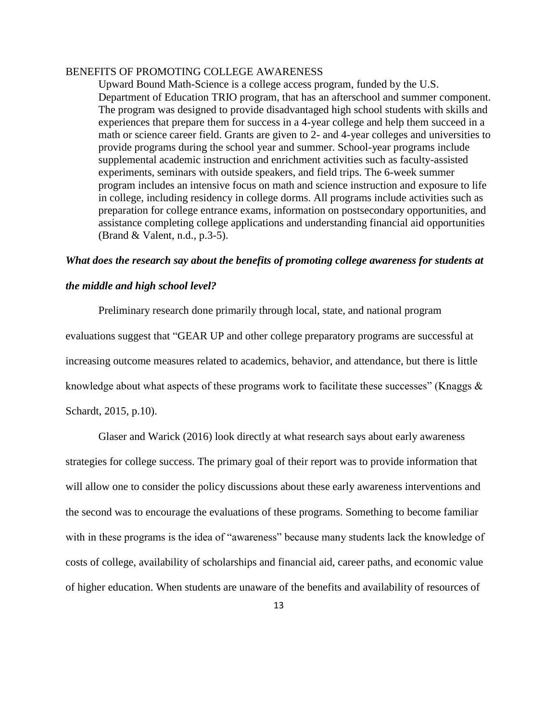Upward Bound Math-Science is a college access program, funded by the U.S. Department of Education TRIO program, that has an afterschool and summer component. The program was designed to provide disadvantaged high school students with skills and experiences that prepare them for success in a 4-year college and help them succeed in a math or science career field. Grants are given to 2- and 4-year colleges and universities to provide programs during the school year and summer. School-year programs include supplemental academic instruction and enrichment activities such as faculty-assisted experiments, seminars with outside speakers, and field trips. The 6-week summer program includes an intensive focus on math and science instruction and exposure to life in college, including residency in college dorms. All programs include activities such as preparation for college entrance exams, information on postsecondary opportunities, and assistance completing college applications and understanding financial aid opportunities (Brand & Valent, n.d., p.3-5).

#### *What does the research say about the benefits of promoting college awareness for students at*

## *the middle and high school level?*

Preliminary research done primarily through local, state, and national program evaluations suggest that "GEAR UP and other college preparatory programs are successful at increasing outcome measures related to academics, behavior, and attendance, but there is little knowledge about what aspects of these programs work to facilitate these successes" (Knaggs  $\&$ Schardt, 2015, p.10).

Glaser and Warick (2016) look directly at what research says about early awareness strategies for college success. The primary goal of their report was to provide information that will allow one to consider the policy discussions about these early awareness interventions and the second was to encourage the evaluations of these programs. Something to become familiar with in these programs is the idea of "awareness" because many students lack the knowledge of costs of college, availability of scholarships and financial aid, career paths, and economic value of higher education. When students are unaware of the benefits and availability of resources of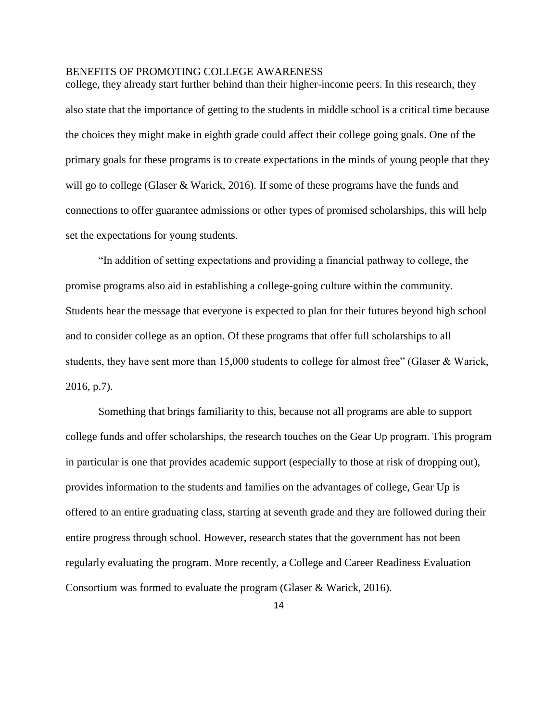college, they already start further behind than their higher-income peers. In this research, they also state that the importance of getting to the students in middle school is a critical time because the choices they might make in eighth grade could affect their college going goals. One of the primary goals for these programs is to create expectations in the minds of young people that they will go to college (Glaser & Warick, 2016). If some of these programs have the funds and connections to offer guarantee admissions or other types of promised scholarships, this will help set the expectations for young students.

"In addition of setting expectations and providing a financial pathway to college, the promise programs also aid in establishing a college-going culture within the community. Students hear the message that everyone is expected to plan for their futures beyond high school and to consider college as an option. Of these programs that offer full scholarships to all students, they have sent more than 15,000 students to college for almost free" (Glaser & Warick, 2016, p.7).

Something that brings familiarity to this, because not all programs are able to support college funds and offer scholarships, the research touches on the Gear Up program. This program in particular is one that provides academic support (especially to those at risk of dropping out), provides information to the students and families on the advantages of college, Gear Up is offered to an entire graduating class, starting at seventh grade and they are followed during their entire progress through school. However, research states that the government has not been regularly evaluating the program. More recently, a College and Career Readiness Evaluation Consortium was formed to evaluate the program (Glaser & Warick, 2016).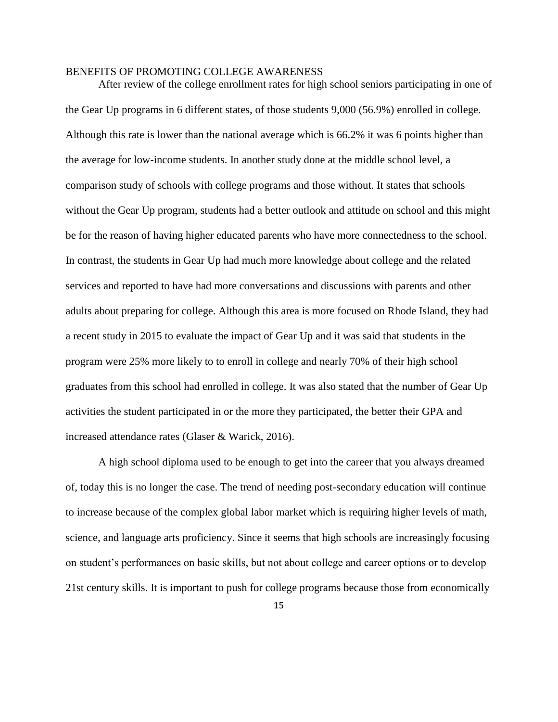After review of the college enrollment rates for high school seniors participating in one of the Gear Up programs in 6 different states, of those students 9,000 (56.9%) enrolled in college. Although this rate is lower than the national average which is 66.2% it was 6 points higher than the average for low-income students. In another study done at the middle school level, a comparison study of schools with college programs and those without. It states that schools without the Gear Up program, students had a better outlook and attitude on school and this might be for the reason of having higher educated parents who have more connectedness to the school. In contrast, the students in Gear Up had much more knowledge about college and the related services and reported to have had more conversations and discussions with parents and other adults about preparing for college. Although this area is more focused on Rhode Island, they had a recent study in 2015 to evaluate the impact of Gear Up and it was said that students in the program were 25% more likely to to enroll in college and nearly 70% of their high school graduates from this school had enrolled in college. It was also stated that the number of Gear Up activities the student participated in or the more they participated, the better their GPA and increased attendance rates (Glaser & Warick, 2016).

A high school diploma used to be enough to get into the career that you always dreamed of, today this is no longer the case. The trend of needing post-secondary education will continue to increase because of the complex global labor market which is requiring higher levels of math, science, and language arts proficiency. Since it seems that high schools are increasingly focusing on student's performances on basic skills, but not about college and career options or to develop 21st century skills. It is important to push for college programs because those from economically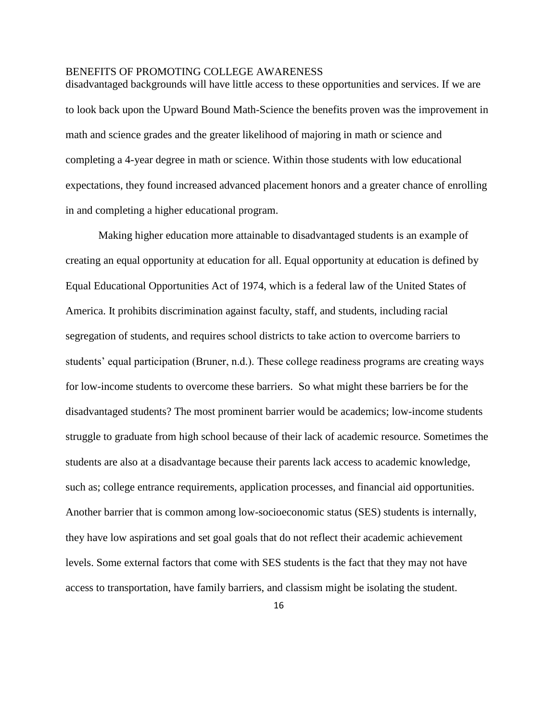disadvantaged backgrounds will have little access to these opportunities and services. If we are to look back upon the Upward Bound Math-Science the benefits proven was the improvement in math and science grades and the greater likelihood of majoring in math or science and completing a 4-year degree in math or science. Within those students with low educational expectations, they found increased advanced placement honors and a greater chance of enrolling in and completing a higher educational program.

Making higher education more attainable to disadvantaged students is an example of creating an equal opportunity at education for all. Equal opportunity at education is defined by Equal Educational Opportunities Act of 1974, which is a federal law of the United States of America. It prohibits discrimination against faculty, staff, and students, including racial segregation of students, and requires school districts to take action to overcome barriers to students' equal participation (Bruner, n.d.). These college readiness programs are creating ways for low-income students to overcome these barriers. So what might these barriers be for the disadvantaged students? The most prominent barrier would be academics; low-income students struggle to graduate from high school because of their lack of academic resource. Sometimes the students are also at a disadvantage because their parents lack access to academic knowledge, such as; college entrance requirements, application processes, and financial aid opportunities. Another barrier that is common among low-socioeconomic status (SES) students is internally, they have low aspirations and set goal goals that do not reflect their academic achievement levels. Some external factors that come with SES students is the fact that they may not have access to transportation, have family barriers, and classism might be isolating the student.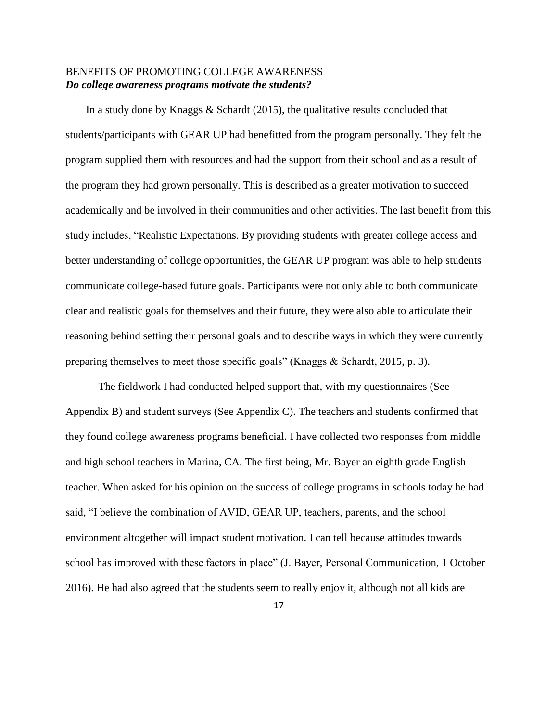## BENEFITS OF PROMOTING COLLEGE AWARENESS *Do college awareness programs motivate the students?*

In a study done by Knaggs & Schardt (2015), the qualitative results concluded that students/participants with GEAR UP had benefitted from the program personally. They felt the program supplied them with resources and had the support from their school and as a result of the program they had grown personally. This is described as a greater motivation to succeed academically and be involved in their communities and other activities. The last benefit from this study includes, "Realistic Expectations. By providing students with greater college access and better understanding of college opportunities, the GEAR UP program was able to help students communicate college-based future goals. Participants were not only able to both communicate clear and realistic goals for themselves and their future, they were also able to articulate their reasoning behind setting their personal goals and to describe ways in which they were currently preparing themselves to meet those specific goals" (Knaggs & Schardt, 2015, p. 3).

The fieldwork I had conducted helped support that, with my questionnaires (See Appendix B) and student surveys (See Appendix C). The teachers and students confirmed that they found college awareness programs beneficial. I have collected two responses from middle and high school teachers in Marina, CA. The first being, Mr. Bayer an eighth grade English teacher. When asked for his opinion on the success of college programs in schools today he had said, "I believe the combination of AVID, GEAR UP, teachers, parents, and the school environment altogether will impact student motivation. I can tell because attitudes towards school has improved with these factors in place" (J. Bayer, Personal Communication, 1 October 2016). He had also agreed that the students seem to really enjoy it, although not all kids are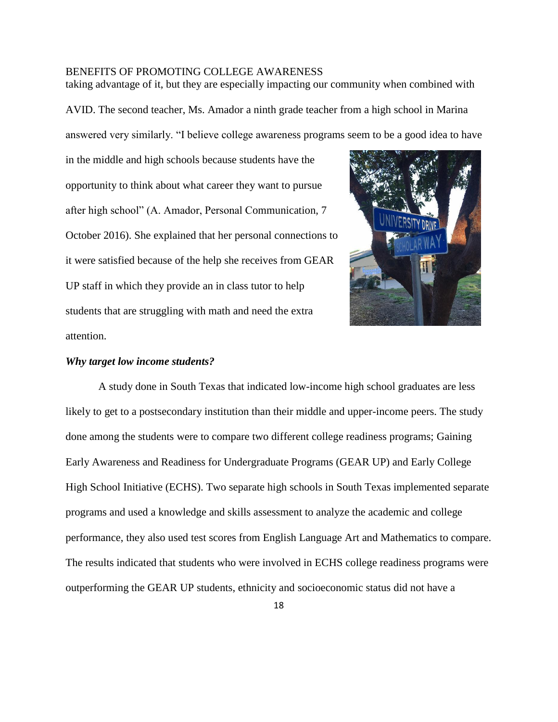taking advantage of it, but they are especially impacting our community when combined with AVID. The second teacher, Ms. Amador a ninth grade teacher from a high school in Marina answered very similarly. "I believe college awareness programs seem to be a good idea to have

in the middle and high schools because students have the opportunity to think about what career they want to pursue after high school" (A. Amador, Personal Communication, 7 October 2016). She explained that her personal connections to it were satisfied because of the help she receives from GEAR UP staff in which they provide an in class tutor to help students that are struggling with math and need the extra attention.



#### *Why target low income students?*

A study done in South Texas that indicated low-income high school graduates are less likely to get to a postsecondary institution than their middle and upper-income peers. The study done among the students were to compare two different college readiness programs; Gaining Early Awareness and Readiness for Undergraduate Programs (GEAR UP) and Early College High School Initiative (ECHS). Two separate high schools in South Texas implemented separate programs and used a knowledge and skills assessment to analyze the academic and college performance, they also used test scores from English Language Art and Mathematics to compare. The results indicated that students who were involved in ECHS college readiness programs were outperforming the GEAR UP students, ethnicity and socioeconomic status did not have a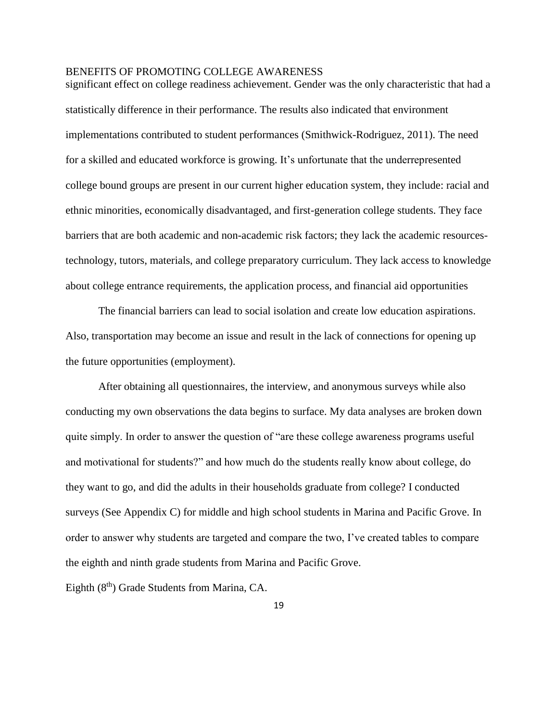significant effect on college readiness achievement. Gender was the only characteristic that had a statistically difference in their performance. The results also indicated that environment implementations contributed to student performances (Smithwick-Rodriguez, 2011). The need for a skilled and educated workforce is growing. It's unfortunate that the underrepresented college bound groups are present in our current higher education system, they include: racial and ethnic minorities, economically disadvantaged, and first-generation college students. They face barriers that are both academic and non-academic risk factors; they lack the academic resourcestechnology, tutors, materials, and college preparatory curriculum. They lack access to knowledge about college entrance requirements, the application process, and financial aid opportunities

The financial barriers can lead to social isolation and create low education aspirations. Also, transportation may become an issue and result in the lack of connections for opening up the future opportunities (employment).

After obtaining all questionnaires, the interview, and anonymous surveys while also conducting my own observations the data begins to surface. My data analyses are broken down quite simply. In order to answer the question of "are these college awareness programs useful and motivational for students?" and how much do the students really know about college, do they want to go, and did the adults in their households graduate from college? I conducted surveys (See Appendix C) for middle and high school students in Marina and Pacific Grove. In order to answer why students are targeted and compare the two, I've created tables to compare the eighth and ninth grade students from Marina and Pacific Grove.

Eighth (8<sup>th</sup>) Grade Students from Marina, CA.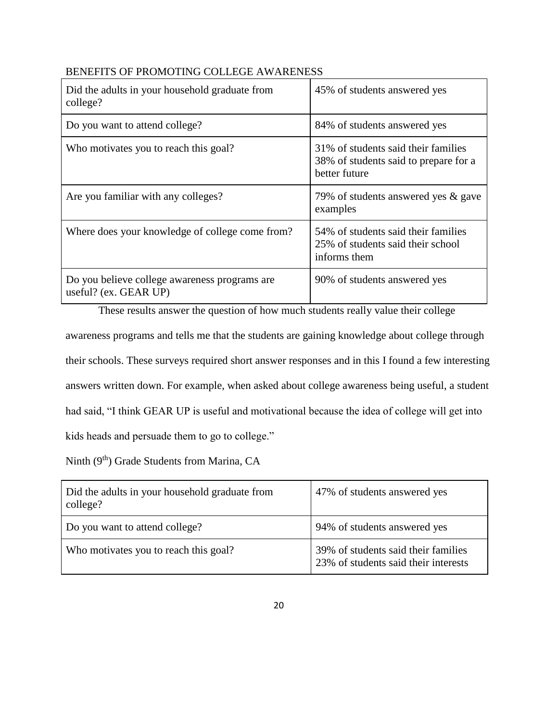| Did the adults in your household graduate from<br>college?             | 45% of students answered yes                                                                   |
|------------------------------------------------------------------------|------------------------------------------------------------------------------------------------|
| Do you want to attend college?                                         | 84% of students answered yes                                                                   |
| Who motivates you to reach this goal?                                  | 31\% of students said their families<br>38% of students said to prepare for a<br>better future |
| Are you familiar with any colleges?                                    | 79% of students answered yes & gave<br>examples                                                |
| Where does your knowledge of college come from?                        | 54% of students said their families<br>25% of students said their school<br>informs them       |
| Do you believe college awareness programs are<br>useful? (ex. GEAR UP) | 90% of students answered yes                                                                   |

These results answer the question of how much students really value their college awareness programs and tells me that the students are gaining knowledge about college through their schools. These surveys required short answer responses and in this I found a few interesting answers written down. For example, when asked about college awareness being useful, a student had said, "I think GEAR UP is useful and motivational because the idea of college will get into kids heads and persuade them to go to college."

Ninth (9<sup>th</sup>) Grade Students from Marina, CA

| Did the adults in your household graduate from<br>college? | 47% of students answered yes                                                |
|------------------------------------------------------------|-----------------------------------------------------------------------------|
| Do you want to attend college?                             | 94% of students answered yes                                                |
| Who motivates you to reach this goal?                      | 39% of students said their families<br>23% of students said their interests |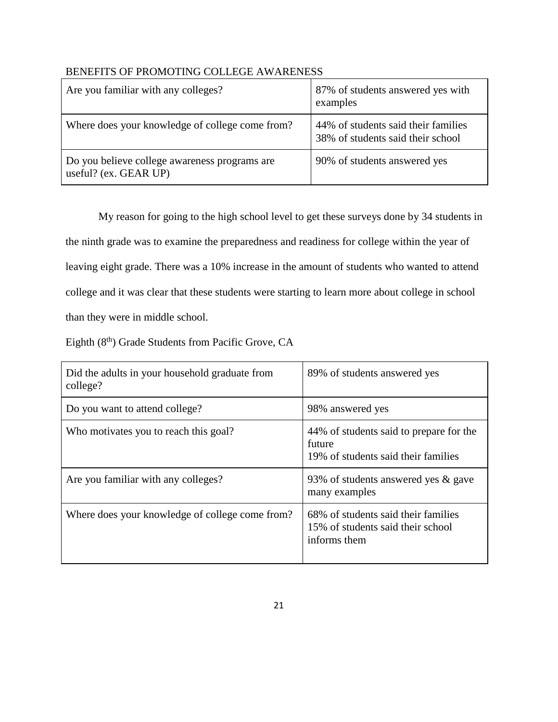| Are you familiar with any colleges?                                    | 87% of students answered yes with<br>examples                            |
|------------------------------------------------------------------------|--------------------------------------------------------------------------|
| Where does your knowledge of college come from?                        | 44% of students said their families<br>38% of students said their school |
| Do you believe college awareness programs are<br>useful? (ex. GEAR UP) | 90% of students answered yes                                             |

My reason for going to the high school level to get these surveys done by 34 students in the ninth grade was to examine the preparedness and readiness for college within the year of leaving eight grade. There was a 10% increase in the amount of students who wanted to attend college and it was clear that these students were starting to learn more about college in school than they were in middle school.

Eighth (8<sup>th</sup>) Grade Students from Pacific Grove, CA

| Did the adults in your household graduate from<br>college? | 89% of students answered yes                                                             |
|------------------------------------------------------------|------------------------------------------------------------------------------------------|
| Do you want to attend college?                             | 98% answered yes                                                                         |
| Who motivates you to reach this goal?                      | 44% of students said to prepare for the<br>future<br>19% of students said their families |
| Are you familiar with any colleges?                        | 93% of students answered yes & gave<br>many examples                                     |
| Where does your knowledge of college come from?            | 68% of students said their families<br>15% of students said their school<br>informs them |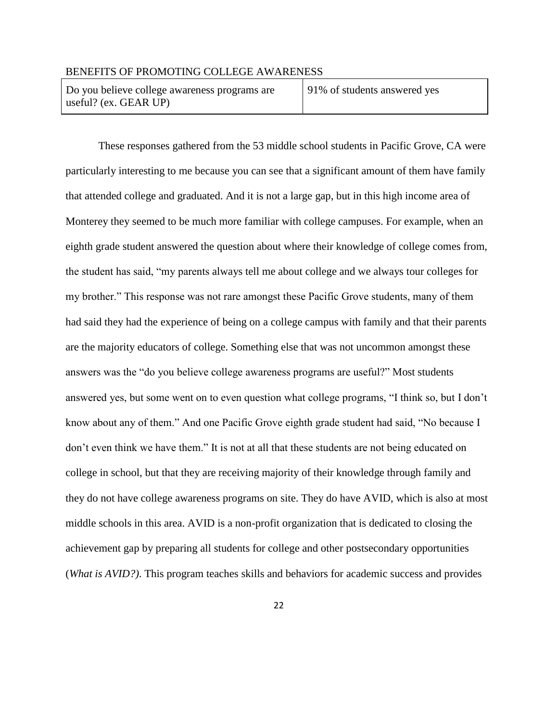Do you believe college awareness programs are useful? (ex. GEAR UP)

91% of students answered yes

These responses gathered from the 53 middle school students in Pacific Grove, CA were particularly interesting to me because you can see that a significant amount of them have family that attended college and graduated. And it is not a large gap, but in this high income area of Monterey they seemed to be much more familiar with college campuses. For example, when an eighth grade student answered the question about where their knowledge of college comes from, the student has said, "my parents always tell me about college and we always tour colleges for my brother." This response was not rare amongst these Pacific Grove students, many of them had said they had the experience of being on a college campus with family and that their parents are the majority educators of college. Something else that was not uncommon amongst these answers was the "do you believe college awareness programs are useful?" Most students answered yes, but some went on to even question what college programs, "I think so, but I don't know about any of them." And one Pacific Grove eighth grade student had said, "No because I don't even think we have them." It is not at all that these students are not being educated on college in school, but that they are receiving majority of their knowledge through family and they do not have college awareness programs on site. They do have AVID, which is also at most middle schools in this area. AVID is a non-profit organization that is dedicated to closing the achievement gap by preparing all students for college and other postsecondary opportunities (*What is AVID?)*. This program teaches skills and behaviors for academic success and provides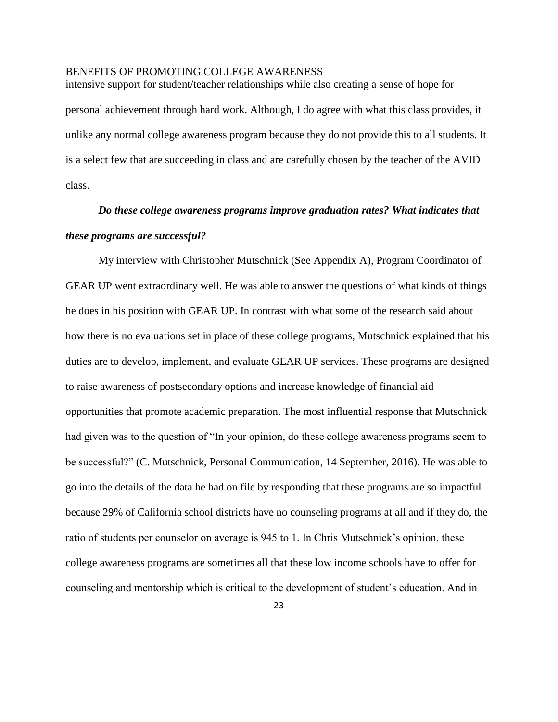intensive support for student/teacher relationships while also creating a sense of hope for personal achievement through hard work. Although, I do agree with what this class provides, it unlike any normal college awareness program because they do not provide this to all students. It is a select few that are succeeding in class and are carefully chosen by the teacher of the AVID class.

# *Do these college awareness programs improve graduation rates? What indicates that these programs are successful?*

My interview with Christopher Mutschnick (See Appendix A), Program Coordinator of GEAR UP went extraordinary well. He was able to answer the questions of what kinds of things he does in his position with GEAR UP. In contrast with what some of the research said about how there is no evaluations set in place of these college programs, Mutschnick explained that his duties are to develop, implement, and evaluate GEAR UP services. These programs are designed to raise awareness of postsecondary options and increase knowledge of financial aid opportunities that promote academic preparation. The most influential response that Mutschnick had given was to the question of "In your opinion, do these college awareness programs seem to be successful?" (C. Mutschnick, Personal Communication, 14 September, 2016). He was able to go into the details of the data he had on file by responding that these programs are so impactful because 29% of California school districts have no counseling programs at all and if they do, the ratio of students per counselor on average is 945 to 1. In Chris Mutschnick's opinion, these college awareness programs are sometimes all that these low income schools have to offer for counseling and mentorship which is critical to the development of student's education. And in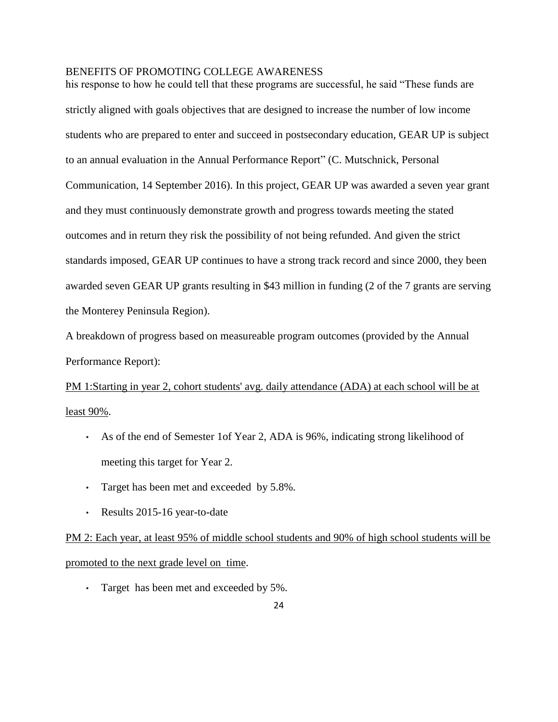his response to how he could tell that these programs are successful, he said "These funds are strictly aligned with goals objectives that are designed to increase the number of low income students who are prepared to enter and succeed in postsecondary education, GEAR UP is subject to an annual evaluation in the Annual Performance Report" (C. Mutschnick, Personal Communication, 14 September 2016). In this project, GEAR UP was awarded a seven year grant and they must continuously demonstrate growth and progress towards meeting the stated outcomes and in return they risk the possibility of not being refunded. And given the strict standards imposed, GEAR UP continues to have a strong track record and since 2000, they been awarded seven GEAR UP grants resulting in \$43 million in funding (2 of the 7 grants are serving the Monterey Peninsula Region).

A breakdown of progress based on measureable program outcomes (provided by the Annual Performance Report):

PM 1:Starting in year 2, cohort students' avg. daily attendance (ADA) at each school will be at least 90%.

- As of the end of Semester 1of Year 2, ADA is 96%, indicating strong likelihood of meeting this target for Year 2.
- Target has been met and exceeded by 5.8%.
- Results 2015-16 year-to-date

PM 2: Each year, at least 95% of middle school students and 90% of high school students will be promoted to the next grade level on time.

• Target has been met and exceeded by 5%.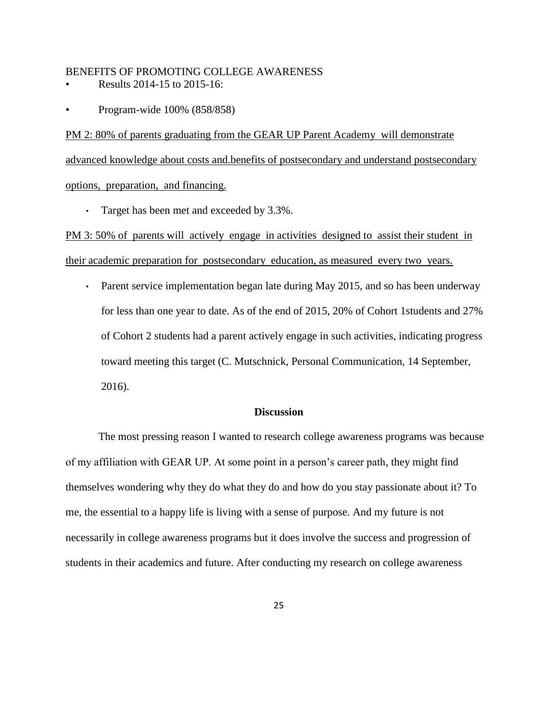- Results 2014-15 to 2015-16:
- Program-wide 100% (858/858)

PM 2: 80% of parents graduating from the GEAR UP Parent Academy will demonstrate advanced knowledge about costs and.benefits of postsecondary and understand postsecondary options, preparation, and financing.

• Target has been met and exceeded by 3.3%.

PM 3: 50% of parents will actively engage in activities designed to assist their student in their academic preparation for postsecondary education, as measured every two years.

• Parent service implementation began late during May 2015, and so has been underway for less than one year to date. As of the end of 2015, 20% of Cohort 1students and 27% of Cohort 2 students had a parent actively engage in such activities, indicating progress toward meeting this target (C. Mutschnick, Personal Communication, 14 September, 2016).

## **Discussion**

The most pressing reason I wanted to research college awareness programs was because of my affiliation with GEAR UP. At some point in a person's career path, they might find themselves wondering why they do what they do and how do you stay passionate about it? To me, the essential to a happy life is living with a sense of purpose. And my future is not necessarily in college awareness programs but it does involve the success and progression of students in their academics and future. After conducting my research on college awareness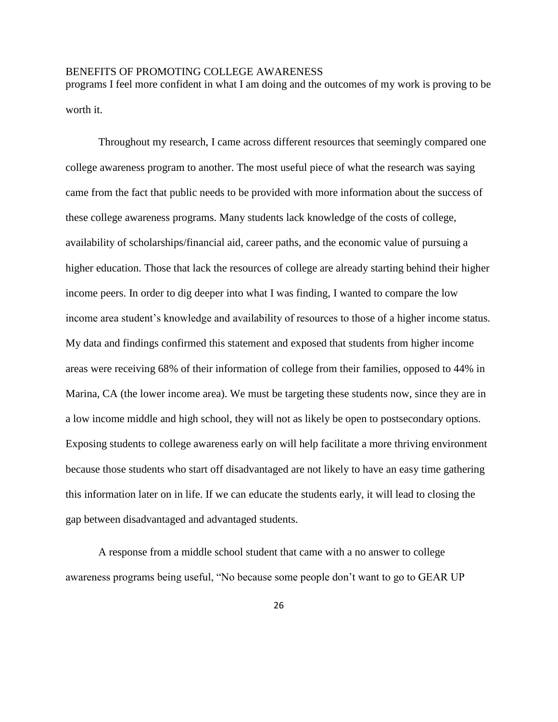programs I feel more confident in what I am doing and the outcomes of my work is proving to be worth it.

Throughout my research, I came across different resources that seemingly compared one college awareness program to another. The most useful piece of what the research was saying came from the fact that public needs to be provided with more information about the success of these college awareness programs. Many students lack knowledge of the costs of college, availability of scholarships/financial aid, career paths, and the economic value of pursuing a higher education. Those that lack the resources of college are already starting behind their higher income peers. In order to dig deeper into what I was finding, I wanted to compare the low income area student's knowledge and availability of resources to those of a higher income status. My data and findings confirmed this statement and exposed that students from higher income areas were receiving 68% of their information of college from their families, opposed to 44% in Marina, CA (the lower income area). We must be targeting these students now, since they are in a low income middle and high school, they will not as likely be open to postsecondary options. Exposing students to college awareness early on will help facilitate a more thriving environment because those students who start off disadvantaged are not likely to have an easy time gathering this information later on in life. If we can educate the students early, it will lead to closing the gap between disadvantaged and advantaged students.

A response from a middle school student that came with a no answer to college awareness programs being useful, "No because some people don't want to go to GEAR UP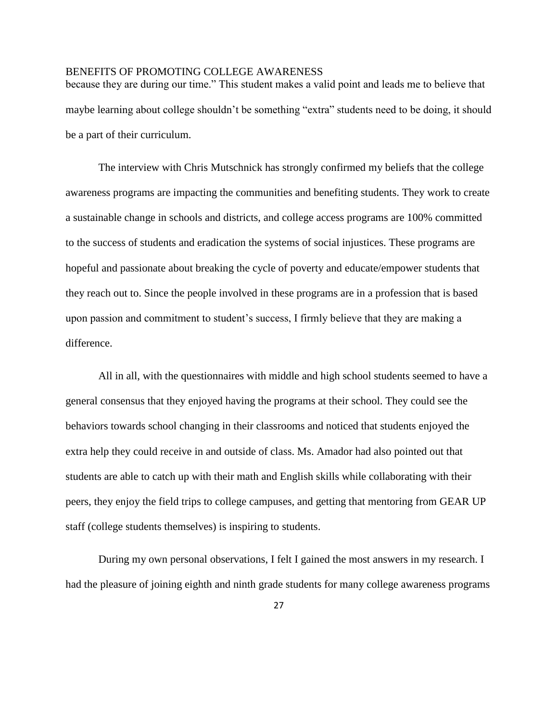because they are during our time." This student makes a valid point and leads me to believe that maybe learning about college shouldn't be something "extra" students need to be doing, it should be a part of their curriculum.

The interview with Chris Mutschnick has strongly confirmed my beliefs that the college awareness programs are impacting the communities and benefiting students. They work to create a sustainable change in schools and districts, and college access programs are 100% committed to the success of students and eradication the systems of social injustices. These programs are hopeful and passionate about breaking the cycle of poverty and educate/empower students that they reach out to. Since the people involved in these programs are in a profession that is based upon passion and commitment to student's success, I firmly believe that they are making a difference.

All in all, with the questionnaires with middle and high school students seemed to have a general consensus that they enjoyed having the programs at their school. They could see the behaviors towards school changing in their classrooms and noticed that students enjoyed the extra help they could receive in and outside of class. Ms. Amador had also pointed out that students are able to catch up with their math and English skills while collaborating with their peers, they enjoy the field trips to college campuses, and getting that mentoring from GEAR UP staff (college students themselves) is inspiring to students.

During my own personal observations, I felt I gained the most answers in my research. I had the pleasure of joining eighth and ninth grade students for many college awareness programs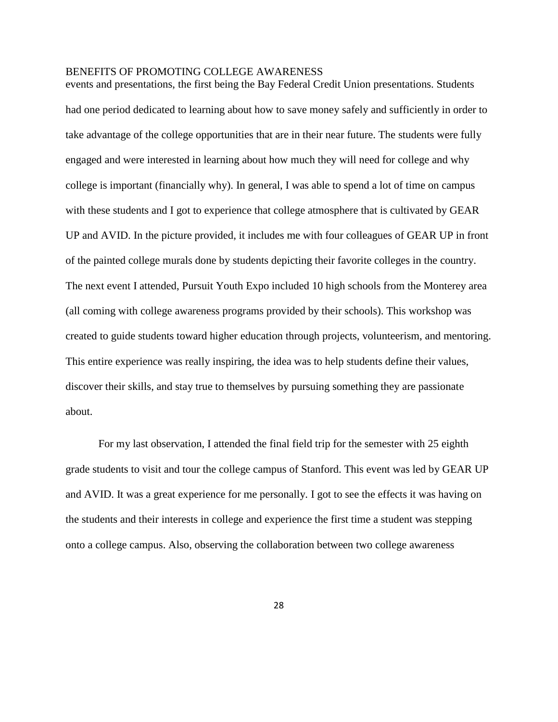events and presentations, the first being the Bay Federal Credit Union presentations. Students had one period dedicated to learning about how to save money safely and sufficiently in order to take advantage of the college opportunities that are in their near future. The students were fully engaged and were interested in learning about how much they will need for college and why college is important (financially why). In general, I was able to spend a lot of time on campus with these students and I got to experience that college atmosphere that is cultivated by GEAR UP and AVID. In the picture provided, it includes me with four colleagues of GEAR UP in front of the painted college murals done by students depicting their favorite colleges in the country. The next event I attended, Pursuit Youth Expo included 10 high schools from the Monterey area (all coming with college awareness programs provided by their schools). This workshop was created to guide students toward higher education through projects, volunteerism, and mentoring. This entire experience was really inspiring, the idea was to help students define their values, discover their skills, and stay true to themselves by pursuing something they are passionate about.

For my last observation, I attended the final field trip for the semester with 25 eighth grade students to visit and tour the college campus of Stanford. This event was led by GEAR UP and AVID. It was a great experience for me personally. I got to see the effects it was having on the students and their interests in college and experience the first time a student was stepping onto a college campus. Also, observing the collaboration between two college awareness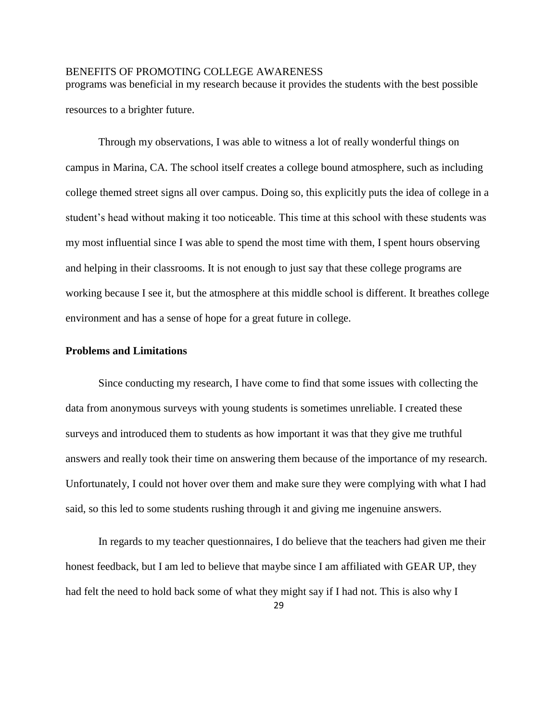programs was beneficial in my research because it provides the students with the best possible resources to a brighter future.

Through my observations, I was able to witness a lot of really wonderful things on campus in Marina, CA. The school itself creates a college bound atmosphere, such as including college themed street signs all over campus. Doing so, this explicitly puts the idea of college in a student's head without making it too noticeable. This time at this school with these students was my most influential since I was able to spend the most time with them, I spent hours observing and helping in their classrooms. It is not enough to just say that these college programs are working because I see it, but the atmosphere at this middle school is different. It breathes college environment and has a sense of hope for a great future in college.

#### **Problems and Limitations**

Since conducting my research, I have come to find that some issues with collecting the data from anonymous surveys with young students is sometimes unreliable. I created these surveys and introduced them to students as how important it was that they give me truthful answers and really took their time on answering them because of the importance of my research. Unfortunately, I could not hover over them and make sure they were complying with what I had said, so this led to some students rushing through it and giving me ingenuine answers.

In regards to my teacher questionnaires, I do believe that the teachers had given me their honest feedback, but I am led to believe that maybe since I am affiliated with GEAR UP, they had felt the need to hold back some of what they might say if I had not. This is also why I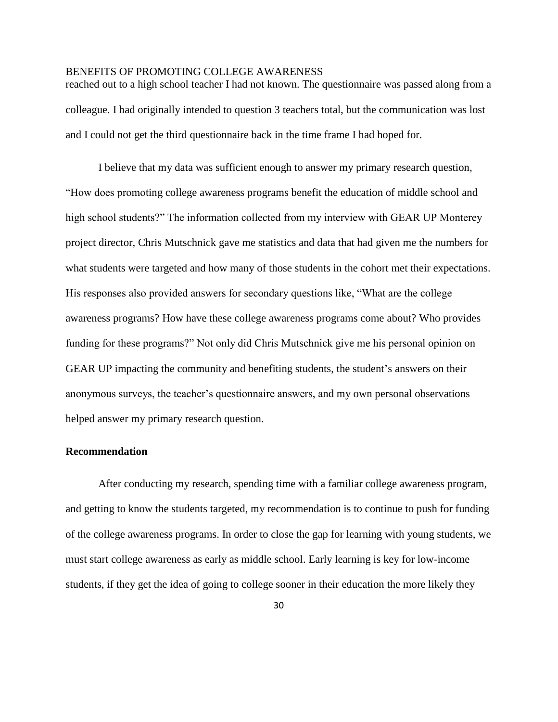reached out to a high school teacher I had not known. The questionnaire was passed along from a colleague. I had originally intended to question 3 teachers total, but the communication was lost and I could not get the third questionnaire back in the time frame I had hoped for.

I believe that my data was sufficient enough to answer my primary research question, "How does promoting college awareness programs benefit the education of middle school and high school students?" The information collected from my interview with GEAR UP Monterey project director, Chris Mutschnick gave me statistics and data that had given me the numbers for what students were targeted and how many of those students in the cohort met their expectations. His responses also provided answers for secondary questions like, "What are the college awareness programs? How have these college awareness programs come about? Who provides funding for these programs?" Not only did Chris Mutschnick give me his personal opinion on GEAR UP impacting the community and benefiting students, the student's answers on their anonymous surveys, the teacher's questionnaire answers, and my own personal observations helped answer my primary research question.

## **Recommendation**

After conducting my research, spending time with a familiar college awareness program, and getting to know the students targeted, my recommendation is to continue to push for funding of the college awareness programs. In order to close the gap for learning with young students, we must start college awareness as early as middle school. Early learning is key for low-income students, if they get the idea of going to college sooner in their education the more likely they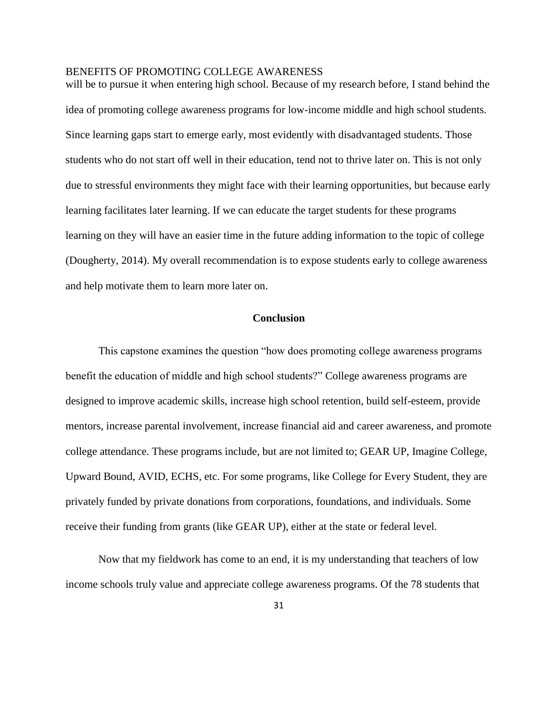will be to pursue it when entering high school. Because of my research before, I stand behind the idea of promoting college awareness programs for low-income middle and high school students. Since learning gaps start to emerge early, most evidently with disadvantaged students. Those students who do not start off well in their education, tend not to thrive later on. This is not only due to stressful environments they might face with their learning opportunities, but because early learning facilitates later learning. If we can educate the target students for these programs learning on they will have an easier time in the future adding information to the topic of college (Dougherty, 2014). My overall recommendation is to expose students early to college awareness and help motivate them to learn more later on.

## **Conclusion**

This capstone examines the question "how does promoting college awareness programs benefit the education of middle and high school students?" College awareness programs are designed to improve academic skills, increase high school retention, build self-esteem, provide mentors, increase parental involvement, increase financial aid and career awareness, and promote college attendance. These programs include, but are not limited to; GEAR UP, Imagine College, Upward Bound, AVID, ECHS, etc. For some programs, like College for Every Student, they are privately funded by private donations from corporations, foundations, and individuals. Some receive their funding from grants (like GEAR UP), either at the state or federal level.

Now that my fieldwork has come to an end, it is my understanding that teachers of low income schools truly value and appreciate college awareness programs. Of the 78 students that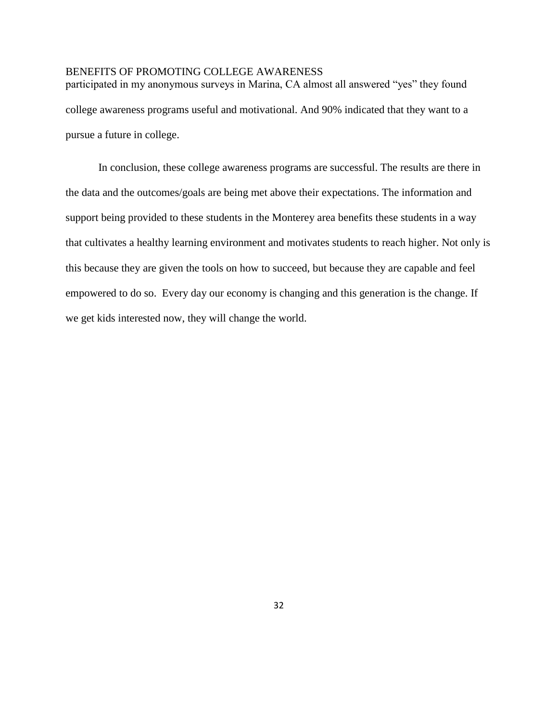participated in my anonymous surveys in Marina, CA almost all answered "yes" they found college awareness programs useful and motivational. And 90% indicated that they want to a pursue a future in college.

In conclusion, these college awareness programs are successful. The results are there in the data and the outcomes/goals are being met above their expectations. The information and support being provided to these students in the Monterey area benefits these students in a way that cultivates a healthy learning environment and motivates students to reach higher. Not only is this because they are given the tools on how to succeed, but because they are capable and feel empowered to do so. Every day our economy is changing and this generation is the change. If we get kids interested now, they will change the world.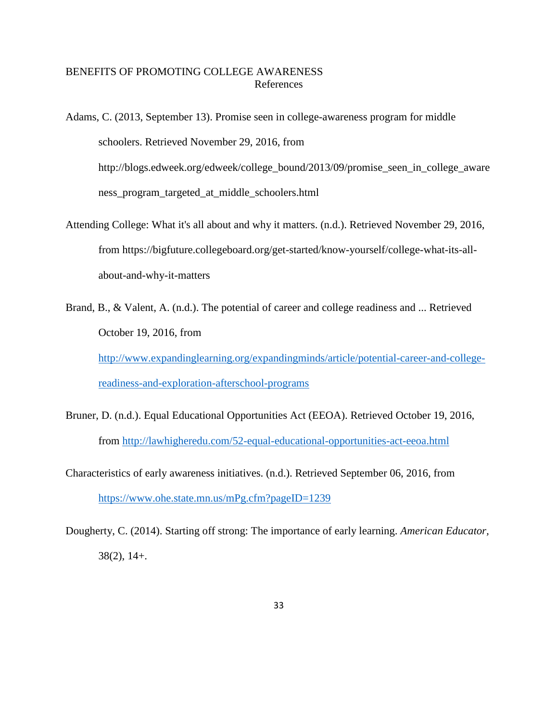# BENEFITS OF PROMOTING COLLEGE AWARENESS References

Adams, C. (2013, September 13). Promise seen in college-awareness program for middle schoolers. Retrieved November 29, 2016, from http://blogs.edweek.org/edweek/college\_bound/2013/09/promise\_seen\_in\_college\_aware ness\_program\_targeted\_at\_middle\_schoolers.html

- Attending College: What it's all about and why it matters. (n.d.). Retrieved November 29, 2016, from https://bigfuture.collegeboard.org/get-started/know-yourself/college-what-its-allabout-and-why-it-matters
- Brand, B., & Valent, A. (n.d.). The potential of career and college readiness and ... Retrieved October 19, 2016, from

[http://www.expandinglearning.org/expandingminds/article/potential-career-and-college](http://www.expandinglearning.org/expandingminds/article/potential-career-and-college-readiness-and-exploration-afterschool-programs)[readiness-and-exploration-afterschool-programs](http://www.expandinglearning.org/expandingminds/article/potential-career-and-college-readiness-and-exploration-afterschool-programs)

- Bruner, D. (n.d.). Equal Educational Opportunities Act (EEOA). Retrieved October 19, 2016, from<http://lawhigheredu.com/52-equal-educational-opportunities-act-eeoa.html>
- Characteristics of early awareness initiatives. (n.d.). Retrieved September 06, 2016, from <https://www.ohe.state.mn.us/mPg.cfm?pageID=1239>
- Dougherty, C. (2014). Starting off strong: The importance of early learning. *American Educator,*  38(2), 14+.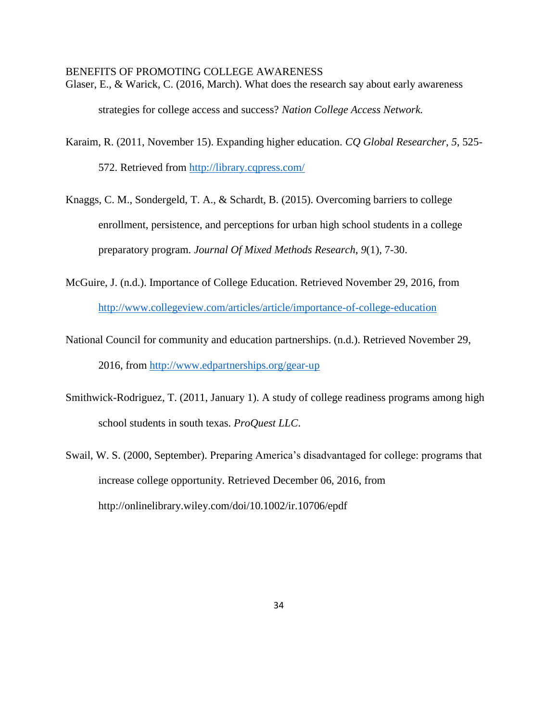Glaser, E., & Warick, C. (2016, March). What does the research say about early awareness strategies for college access and success? *Nation College Access Network.*

- Karaim, R. (2011, November 15). Expanding higher education. *CQ Global Researcher*, *5*, 525- 572. Retrieved from<http://library.cqpress.com/>
- Knaggs, C. M., Sondergeld, T. A., & Schardt, B. (2015). Overcoming barriers to college enrollment, persistence, and perceptions for urban high school students in a college preparatory program. *Journal Of Mixed Methods Research*, *9*(1), 7-30.
- McGuire, J. (n.d.). Importance of College Education. Retrieved November 29, 2016, from <http://www.collegeview.com/articles/article/importance-of-college-education>
- National Council for community and education partnerships. (n.d.). Retrieved November 29, 2016, from<http://www.edpartnerships.org/gear-up>
- Smithwick-Rodriguez, T. (2011, January 1). A study of college readiness programs among high school students in south texas. *ProQuest LLC*.
- Swail, W. S. (2000, September). Preparing America's disadvantaged for college: programs that increase college opportunity. Retrieved December 06, 2016, from http://onlinelibrary.wiley.com/doi/10.1002/ir.10706/epdf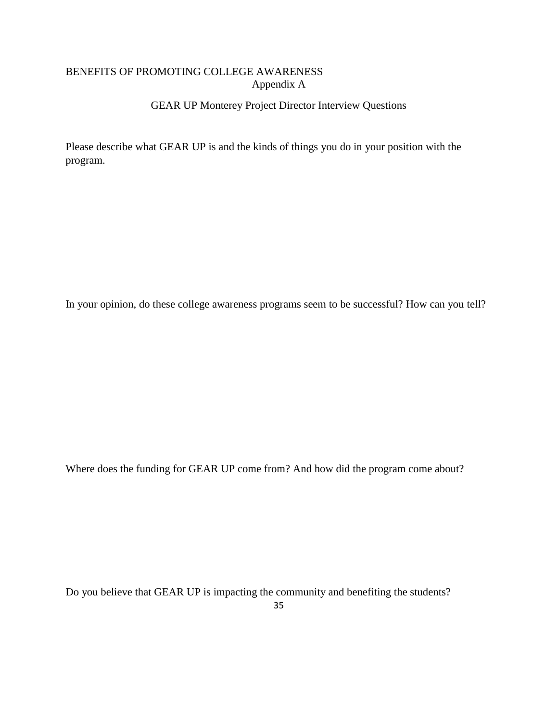# BENEFITS OF PROMOTING COLLEGE AWARENESS Appendix A

# GEAR UP Monterey Project Director Interview Questions

Please describe what GEAR UP is and the kinds of things you do in your position with the program.

In your opinion, do these college awareness programs seem to be successful? How can you tell?

Where does the funding for GEAR UP come from? And how did the program come about?

Do you believe that GEAR UP is impacting the community and benefiting the students?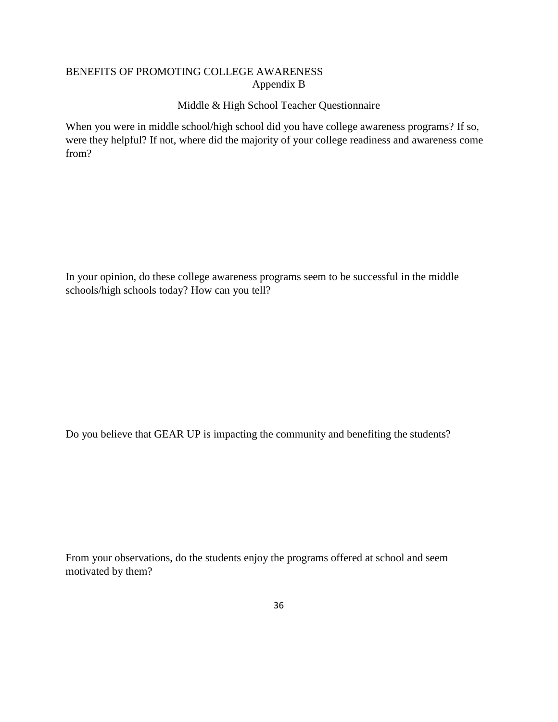# BENEFITS OF PROMOTING COLLEGE AWARENESS Appendix B

# Middle & High School Teacher Questionnaire

When you were in middle school/high school did you have college awareness programs? If so, were they helpful? If not, where did the majority of your college readiness and awareness come from?

In your opinion, do these college awareness programs seem to be successful in the middle schools/high schools today? How can you tell?

Do you believe that GEAR UP is impacting the community and benefiting the students?

From your observations, do the students enjoy the programs offered at school and seem motivated by them?